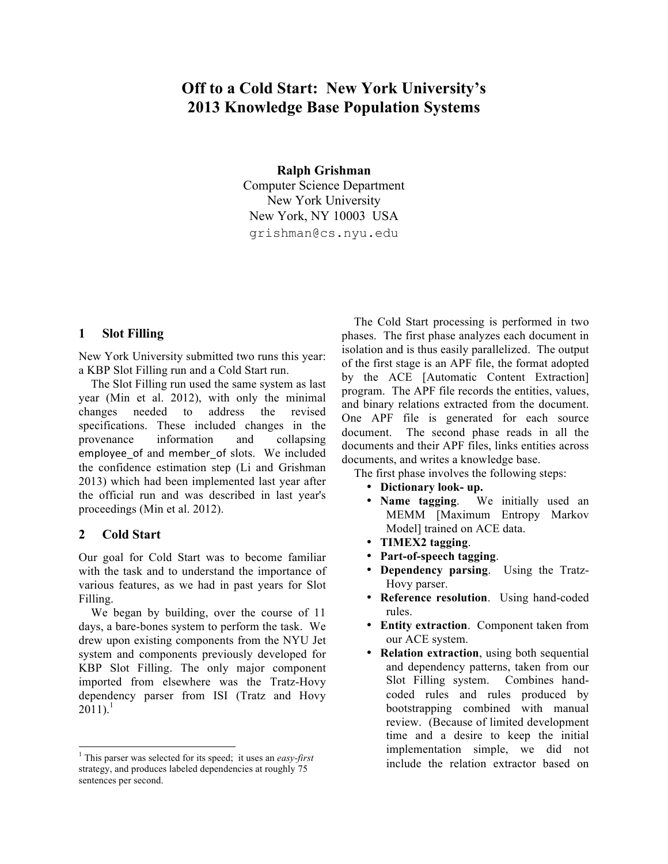# **Off to a Cold Start: New York University's 2013 Knowledge Base Population Systems**

**Ralph Grishman** Computer Science Department New York University New York, NY 10003 USA grishman@cs.nyu.edu

# **1 Slot Filling**

New York University submitted two runs this year: a KBP Slot Filling run and a Cold Start run.

The Slot Filling run used the same system as last year (Min et al. 2012), with only the minimal changes needed to address the revised specifications. These included changes in the provenance information and collapsing employee\_of and member\_of slots. We included the confidence estimation step (Li and Grishman 2013) which had been implemented last year after the official run and was described in last year's proceedings (Min et al. 2012).

# **2 Cold Start**

Our goal for Cold Start was to become familiar with the task and to understand the importance of various features, as we had in past years for Slot Filling.

We began by building, over the course of 11 days, a bare-bones system to perform the task. We drew upon existing components from the NYU Jet system and components previously developed for KBP Slot Filling. The only major component imported from elsewhere was the Tratz-Hovy dependency parser from ISI (Tratz and Hovy  $2011$ ).<sup>1</sup>

The Cold Start processing is performed in two phases. The first phase analyzes each document in isolation and is thus easily parallelized. The output of the first stage is an APF file, the format adopted by the ACE [Automatic Content Extraction] program. The APF file records the entities, values, and binary relations extracted from the document. One APF file is generated for each source document. The second phase reads in all the documents and their APF files, links entities across documents, and writes a knowledge base.

The first phase involves the following steps:

- **Dictionary look- up.**
- We initially used an MEMM [Maximum Entropy Markov Model] trained on ACE data.
- **TIMEX2 tagging**.
- **Part-of-speech tagging**.
- **Dependency parsing**. Using the Tratz-Hovy parser.
- **Reference resolution**. Using hand-coded rules.
- **Entity extraction**. Component taken from our ACE system.
- **Relation extraction**, using both sequential and dependency patterns, taken from our Slot Filling system. Combines handcoded rules and rules produced by bootstrapping combined with manual review. (Because of limited development time and a desire to keep the initial implementation simple, we did not include the relation extractor based on

 $\frac{1}{1}$ <sup>1</sup> This parser was selected for its speed; it uses an *easy-first* strategy, and produces labeled dependencies at roughly 75 sentences per second.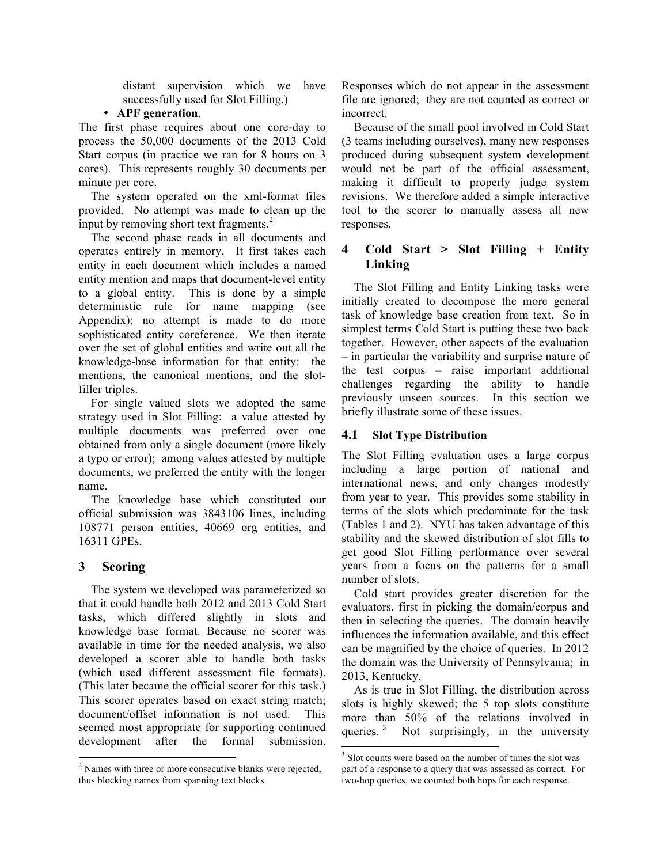distant supervision which we have successfully used for Slot Filling.)

### • **APF generation**.

The first phase requires about one core-day to process the 50,000 documents of the 2013 Cold Start corpus (in practice we ran for 8 hours on 3 cores). This represents roughly 30 documents per minute per core.

The system operated on the xml-format files provided. No attempt was made to clean up the input by removing short text fragments.<sup>2</sup>

The second phase reads in all documents and operates entirely in memory. It first takes each entity in each document which includes a named entity mention and maps that document-level entity to a global entity. This is done by a simple deterministic rule for name mapping (see Appendix); no attempt is made to do more sophisticated entity coreference. We then iterate over the set of global entities and write out all the knowledge-base information for that entity: the mentions, the canonical mentions, and the slotfiller triples.

For single valued slots we adopted the same strategy used in Slot Filling: a value attested by multiple documents was preferred over one obtained from only a single document (more likely a typo or error); among values attested by multiple documents, we preferred the entity with the longer name.

The knowledge base which constituted our official submission was 3843106 lines, including 108771 person entities, 40669 org entities, and 16311 GPEs.

# **3 Scoring**

The system we developed was parameterized so that it could handle both 2012 and 2013 Cold Start tasks, which differed slightly in slots and knowledge base format. Because no scorer was available in time for the needed analysis, we also developed a scorer able to handle both tasks (which used different assessment file formats). (This later became the official scorer for this task.) This scorer operates based on exact string match; document/offset information is not used. This seemed most appropriate for supporting continued development after the formal submission. Responses which do not appear in the assessment file are ignored; they are not counted as correct or incorrect.

Because of the small pool involved in Cold Start (3 teams including ourselves), many new responses produced during subsequent system development would not be part of the official assessment, making it difficult to properly judge system revisions. We therefore added a simple interactive tool to the scorer to manually assess all new responses.

# **4 Cold Start > Slot Filling + Entity Linking**

The Slot Filling and Entity Linking tasks were initially created to decompose the more general task of knowledge base creation from text. So in simplest terms Cold Start is putting these two back together. However, other aspects of the evaluation – in particular the variability and surprise nature of the test corpus – raise important additional challenges regarding the ability to handle previously unseen sources. In this section we briefly illustrate some of these issues.

### **4.1 Slot Type Distribution**

The Slot Filling evaluation uses a large corpus including a large portion of national and international news, and only changes modestly from year to year. This provides some stability in terms of the slots which predominate for the task (Tables 1 and 2). NYU has taken advantage of this stability and the skewed distribution of slot fills to get good Slot Filling performance over several years from a focus on the patterns for a small number of slots.

Cold start provides greater discretion for the evaluators, first in picking the domain/corpus and then in selecting the queries. The domain heavily influences the information available, and this effect can be magnified by the choice of queries. In 2012 the domain was the University of Pennsylvania; in 2013, Kentucky.

As is true in Slot Filling, the distribution across slots is highly skewed; the 5 top slots constitute more than 50% of the relations involved in queries.  $3$  Not surprisingly, in the university

<sup>&</sup>lt;sup>2</sup> <sup>2</sup> Names with three or more consecutive blanks were rejected, thus blocking names from spanning text blocks.

 $\frac{1}{3}$  $3$  Slot counts were based on the number of times the slot was part of a response to a query that was assessed as correct. For two-hop queries, we counted both hops for each response.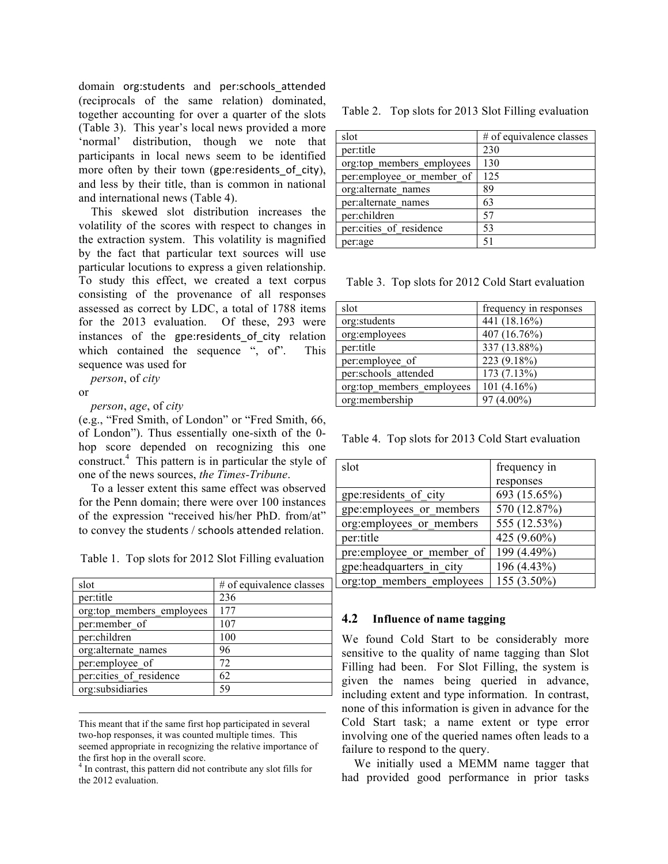domain org:students and per:schools\_attended (reciprocals of the same relation) dominated, together accounting for over a quarter of the slots (Table 3). This year's local news provided a more 'normal' distribution, though we note that participants in local news seem to be identified more often by their town (gpe: residents of city), and less by their title, than is common in national and international news (Table 4).

This skewed slot distribution increases the volatility of the scores with respect to changes in the extraction system. This volatility is magnified by the fact that particular text sources will use particular locutions to express a given relationship. To study this effect, we created a text corpus consisting of the provenance of all responses assessed as correct by LDC, a total of 1788 items for the 2013 evaluation. Of these, 293 were instances of the gpe:residents of city relation which contained the sequence ", of". This sequence was used for

*person*, of *city*

or

 $\overline{\phantom{a}}$ 

*person*, *age*, of *city*

(e.g., "Fred Smith, of London" or "Fred Smith, 66, of London"). Thus essentially one-sixth of the 0 hop score depended on recognizing this one construct.4 This pattern is in particular the style of one of the news sources, *the Times-Tribune*.

To a lesser extent this same effect was observed for the Penn domain; there were over 100 instances of the expression "received his/her PhD. from/at" to convey the students / schools attended relation.

Table 1. Top slots for 2012 Slot Filling evaluation

| slot                      | # of equivalence classes |  |  |  |
|---------------------------|--------------------------|--|--|--|
| per:title                 | 236                      |  |  |  |
| org:top members employees | 177                      |  |  |  |
| per:member of             | 107                      |  |  |  |
| per:children              | 100                      |  |  |  |
| org:alternate names       | 96                       |  |  |  |
| per:employee of           | 72                       |  |  |  |
| per: cities of residence  | 62                       |  |  |  |
| org:subsidiaries          | 59                       |  |  |  |

This meant that if the same first hop participated in several two-hop responses, it was counted multiple times. This seemed appropriate in recognizing the relative importance of the first hop in the overall score.

4 In contrast, this pattern did not contribute any slot fills for the 2012 evaluation.

#### Table 2. Top slots for 2013 Slot Filling evaluation

| slot                       | # of equivalence classes |  |  |  |
|----------------------------|--------------------------|--|--|--|
| per:title                  | 230                      |  |  |  |
| org:top members employees  | 130                      |  |  |  |
| per: employee or member of | 125                      |  |  |  |
| org:alternate names        | 89                       |  |  |  |
| per:alternate names        | 63                       |  |  |  |
| per:children               | 57                       |  |  |  |
| per:cities of residence    | 53                       |  |  |  |
| per:age                    | 51                       |  |  |  |

Table 3. Top slots for 2012 Cold Start evaluation

| slot                      | frequency in responses |  |  |
|---------------------------|------------------------|--|--|
| org:students              | 441 (18.16%)           |  |  |
| org:employees             | 407 (16.76%)           |  |  |
| per:title                 | 337 (13.88%)           |  |  |
| per:employee of           | 223 (9.18%)            |  |  |
| per:schools attended      | 173 (7.13%)            |  |  |
| org:top members employees | 101 $(4.16\%)$         |  |  |
| org:membership            | 97 (4.00%)             |  |  |
|                           |                        |  |  |

Table 4. Top slots for 2013 Cold Start evaluation

| slot                       | frequency in |  |
|----------------------------|--------------|--|
|                            | responses    |  |
| gpe:residents of city      | 693 (15.65%) |  |
| gpe:employees or members   | 570 (12.87%) |  |
| org: employees or members  | 555 (12.53%) |  |
| per:title                  | 425 (9.60%)  |  |
| pre: employee or member of | 199 (4.49%)  |  |
| gpe:headquarters in city   | 196 (4.43%)  |  |
| org:top members employees  | 155 (3.50%)  |  |

#### **4.2 Influence of name tagging**

We found Cold Start to be considerably more sensitive to the quality of name tagging than Slot Filling had been. For Slot Filling, the system is given the names being queried in advance, including extent and type information. In contrast, none of this information is given in advance for the Cold Start task; a name extent or type error involving one of the queried names often leads to a failure to respond to the query.

We initially used a MEMM name tagger that had provided good performance in prior tasks